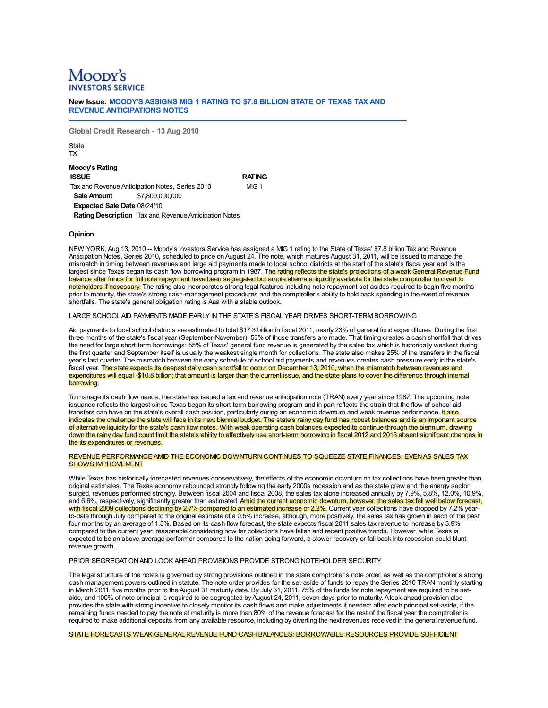# Moopy's

New Issue: MOODY'S ASSIGNS MIG 1 RATING TO \$7.8 BILLION STATE OF TEXAS TAX AND **REVENUE ANTICIPATIONS NOTES** 

Global Credit Research - 13 Aug 2010

State **TX** 

# **Moody's Rating**

**ISSUE RATING** Tax and Revenue Anticipation Notes, Series 2010  $MIG<sub>1</sub>$ \$7,800,000,000 **Sale Amount** Expected Sale Date 08/24/10 Rating Description Tax and Revenue Anticipation Notes

# Opinion

NEW YORK, Aug 13, 2010 -- Moody's Investors Service has assigned a MIG 1 rating to the State of Texas' \$7.8 billion Tax and Revenue Anticipation Notes, Series 2010, scheduled to price on August 24. The note, which matures August 31, 2011, will be issued to manage the mismatch in timing between revenues and large aid payments made to local school districts at the start of the state's fiscal year and is the largest since Texas began its cash flow borrowing program in 1987. The rating reflects the state's projections of a weak General Revenue Fund balance after funds for full note repayment have been segregated but ample alternate liquidity available for the state comptroller to divert to noteholders if necessary. The rating also incorporates strong legal features including note repayment set-asides required to begin five months prior to maturity, the state's strong cash-management procedures and the comptroller's ability to hold back spending in the event of revenue shortfalls. The state's general obligation rating is Aaa with a stable outlook.

# LARGE SCHOOLAID PAYMENTS MADE EARLY IN THE STATE'S FISCAL YEAR DRIVES SHORT-TERM BORROWING

Aid payments to local school districts are estimated to total \$17.3 billion in fiscal 2011, nearly 23% of general fund expenditures. During the first three months of the state's fiscal year (September-November), 53% of those transfers are made. That timing creates a cash shortfall that drives the need for large short-term borrowings: 55% of Texas' general fund revenue is generated by the sales tax which is historically weakest during the first quarter and September itself is usually the weakest single month for collections. The state also makes 25% of the transfers in the fiscal year's last quarter. The mismatch between the early schedule of school aid payments and revenues creates cash pressure early in the state's fiscal year. The state expects its deepest daily cash shortfall to occur on December 13, 2010, when the mismatch between revenues and expenditures will equal -\$10.8 billion; that amount is larger than the current issue, and the state plans to cover the difference through internal borrowing.

To manage its cash flow needs, the state has issued a tax and revenue anticipation note (TRAN) every year since 1987. The upcoming note issuance reflects the largest since Texas began its short-term borrowing program and in part reflects the strain that the flow of school aid transfers can have on the state's overall cash position, particularly during an economic downturn and weak revenue performance. It also indicates the challenge the state will face in its next biennial budget. The state's rainy day fund has robust balances and is an important source of alternative liquidity for the state's cash flow notes. With weak operating cash balances expected to continue through the biennium, drawing down the rainy day fund could limit the state's ability to effectively use short-term borrowing in fiscal 2012 and 2013 absent significant changes in the its expenditures or revenues.

## REVENUE PERFORMANCE AMID THE ECONOMIC DOWNTURN CONTINUES TO SQUEEZE STATE FINANCES. EVEN AS SALES TAX **SHOWS IMPROVEMENT**

While Texas has historically forecasted revenues conservatively, the effects of the economic downturn on tax collections have been greater than original estimates. The Texas economy rebounded strongly following the early 2000s recession and as the state grew and the energy sector surged, revenues performed strongly. Between fiscal 2004 and fiscal 2008, the sales tax alone increased annually by 7.9%, 5.8%, 12.0%, 10.9%, and 6.6%, respectively, significantly greater than estimated. Amid the current economic downturn, however, the sales tax fell well below forecast, with fiscal 2009 collections declining by 2.7% compared to an estimated increase of 2.2%. Current year collections have dropped by 7.2% yearto-date through July compared to the original estimate of a 0.5% increase, although, more positively, the sales tax has grown in each of the past four months by an average of 1.5%. Based on its cash flow forecast, the state expects fiscal 2011 sales tax revenue to increase by 3.9% compared to the current year, reasonable considering how far collections have fallen and recent positive trends. However, while Texas is expected to be an above-average performer compared to the nation going forward, a slower recovery or fall back into recession could blunt revenue growth.

# PRIOR SEGREGATION AND LOOK AHEAD PROVISIONS PROVIDE STRONG NOTEHOLDER SECURITY

The legal structure of the notes is governed by strong provisions outlined in the state comptroller's note order, as well as the comptroller's strong cash management powers outlined in statute. The note order provides for the set-aside of funds to repay the Series 2010 TRAN monthly starting in March 2011, five months prior to the August 31 maturity date. By July 31, 2011, 75% of the funds for note repayment are required to be setaide, and 100% of note principal is required to be segregated by August 24, 2011, seven days prior to maturity. A look-ahead provision also provides the state with strong incentive to closely monitor its cash flows and make adjustments if needed: after each principal set-aside, if the remaining funds needed to pay the note at maturity is more than 80% of the revenue forecast for the rest of the fiscal year the comptroller is required to make additional deposits from any available resource, including by diverting the next revenues received in the general revenue fund.

STATE FORECASTS WEAK GENERAL REVENUE FUND CASH BALANCES: BORROWABLE RESOURCES PROVIDE SUFFICIENT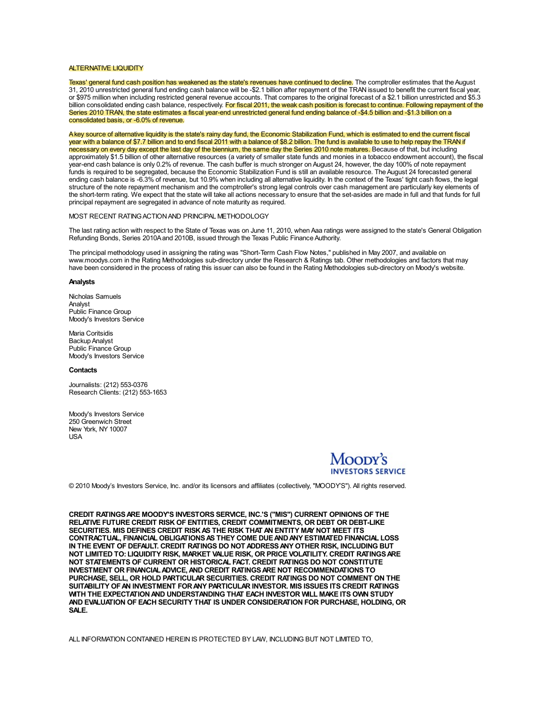#### **ALTERNATIVE LIQUIDITY**

Texas' general fund cash position has weakened as the state's revenues have continued to decline. The comptroller estimates that the August 31, 2010 unrestricted general fund ending cash balance will be -\$2.1 billion after repayment of the TRAN issued to benefit the current fiscal year, or \$975 million when including restricted general revenue accounts. That compares to the original forecast of a \$2.1 billion unrestricted and \$5.3 billion consolidated ending cash balance, respectively. For fiscal 2011, the weak cash position is forecast to continue. Following repayment of the Series 2010 TRAN, the state estimates a fiscal year-end unrestricted general fund ending balance of -\$4.5 billion and -\$1.3 billion on a consolidated basis, or -6.0% of revenue.

A key source of alternative liquidity is the state's rainy day fund, the Economic Stabilization Fund, which is estimated to end the current fiscal year with a balance of \$7.7 billion and to end fiscal 2011 with a balance of \$8.2 billion. The fund is available to use to help repay the TRAN if necessary on every day except the last day of the biennium, the same day the Series 2010 note matures. Because of that, but including approximately \$1.5 billion of other alternative resources (a variety of smaller state funds and monies in a tobacco endowment account), the fiscal year-end cash balance is only 0.2% of revenue. The cash buffer is much stronger on August 24, however, the day 100% of note repayment funds is required to be segregated, because the Economic Stabilization Fund is still an available resource. The August 24 forecasted general ending cash balance is -6.3% of revenue, but 10.9% when including all alternative liquidity. In the context of the Texas' tight cash flows, the legal structure of the note repayment mechanism and the comptroller's strong legal controls over cash management are particularly key elements of the short-term rating. We expect that the state will take all actions necessary to ensure that the set-asides are made in full and that funds for full principal repayment are segregated in advance of note maturity as required.

## MOST RECENT RATING ACTION AND PRINCIPAL METHODOLOGY

The last rating action with respect to the State of Texas was on June 11, 2010, when Aaa ratings were assigned to the state's General Obligation Refunding Bonds, Series 2010A and 2010B, issued through the Texas Public Finance Authority.

The principal methodology used in assigning the rating was "Short-Term Cash Flow Notes," published in May 2007, and available on www.moodys.com in the Rating Methodologies sub-directory under the Research & Ratings tab. Other methodologies and factors that may have been considered in the process of rating this issuer can also be found in the Rating Methodologies sub-directory on Moody's website.

#### Analysts

Nicholas Samuels Analvst Public Finance Group Moody's Investors Service

Maria Coritsidis **Backup Analyst** Public Finance Group Moody's Investors Service

### Contacts

Journalists: (212) 553-0376 Research Clients: (212) 553-1653

Moody's Investors Service 250 Greenwich Street New York, NY 10007 USA



© 2010 Moody's Investors Service, Inc. and/or its licensors and affiliates (collectively, "MOODY'S"). All rights reserved.

CREDIT RATINGS ARE MOODY'S INVESTORS SERVICE, INC.'S ("MIS") CURRENT OPINIONS OF THE RELATIVE FUTURE CREDIT RISK OF ENTITIES, CREDIT COMMITMENTS, OR DEBT OR DEBT-LIKE SECURITIES. MIS DEFINES CREDIT RISK AS THE RISK THAT AN ENTITY MAY NOT MEET ITS CONTRACTUAL, FINANCIAL OBLIGATIONS AS THEY COME DUE AND ANY ESTIMATED FINANCIAL LOSS IN THE EVENT OF DEFAULT. CREDIT RATINGS DO NOT ADDRESS ANY OTHER RISK, INCLUDING BUT NOT LIMITED TO: LIQUIDITY RISK, MARKET VALUE RISK, OR PRICE VOLATILITY. CREDIT RATINGS ARE NOT STATEMENTS OF CURRENT OR HISTORICAL FACT. CREDIT RATINGS DO NOT CONSTITUTE INVESTMENT OR FINANCIAL ADVICE, AND CREDIT RATINGS ARE NOT RECOMMENDATIONS TO PURCHASE, SELL, OR HOLD PARTICULAR SECURITIES. CREDIT RATINGS DO NOT COMMENT ON THE SUITABILITY OF AN INVESTMENT FOR ANY PARTICULAR INVESTOR. MIS ISSUES ITS CREDIT RATINGS WITH THE EXPECTATION AND UNDERSTANDING THAT EACH INVESTOR WILL MAKE ITS OWN STUDY AND EVALUATION OF EACH SECURITY THAT IS UNDER CONSIDERATION FOR PURCHASE. HOLDING, OR SALE.

ALL INFORMATION CONTAINED HEREIN IS PROTECTED BY LAW, INCLUDING BUT NOT LIMITED TO,